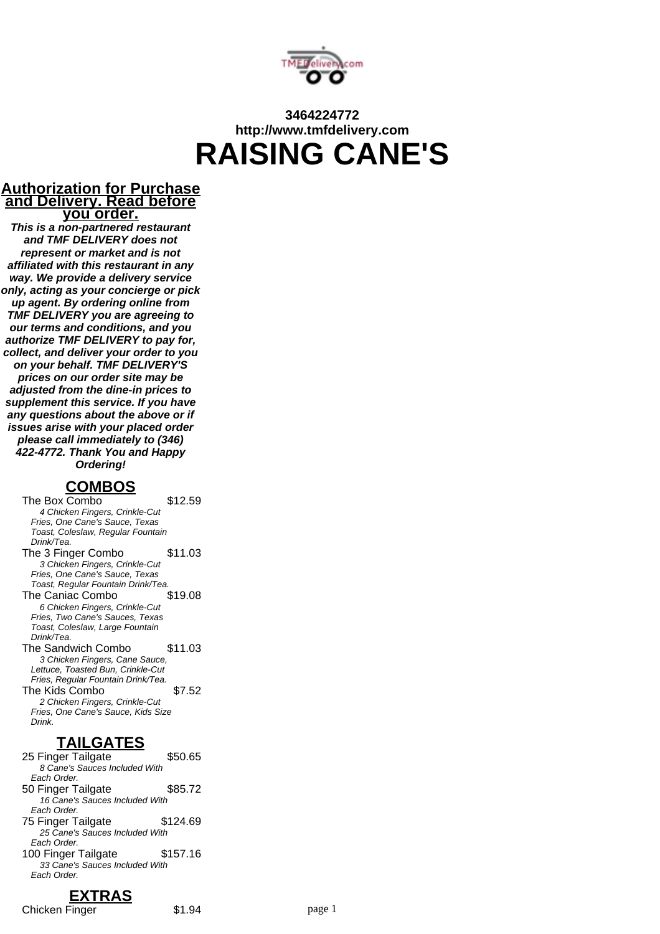

# **3464224772 http://www.tmfdelivery.com RAISING CANE'S**

#### **Authorization for Purchase and Delivery. Read before you order.**

**This is a non-partnered restaurant and TMF DELIVERY does not represent or market and is not affiliated with this restaurant in any way. We provide a delivery service only, acting as your concierge or pick up agent. By ordering online from TMF DELIVERY you are agreeing to our terms and conditions, and you authorize TMF DELIVERY to pay for, collect, and deliver your order to you on your behalf. TMF DELIVERY'S prices on our order site may be adjusted from the dine-in prices to supplement this service. If you have any questions about the above or if issues arise with your placed order please call immediately to (346) 422-4772. Thank You and Happy Ordering!**

## **COMBOS**

The Box Combo \$12.59

4 Chicken Fingers, Crinkle-Cut Fries, One Cane's Sauce, Texas Toast, Coleslaw, Regular Fountain Drink/Tea. The 3 Finger Combo \$11.03 3 Chicken Fingers, Crinkle-Cut Fries, One Cane's Sauce, Texas Toast, Regular Fountain Drink/Tea. The Caniac Combo \$19.08 6 Chicken Fingers, Crinkle-Cut Fries, Two Cane's Sauces, Texas Toast, Coleslaw, Large Fountain Drink/Tea. The Sandwich Combo \$11.03 3 Chicken Fingers, Cane Sauce, Lettuce, Toasted Bun, Crinkle-Cut Fries, Regular Fountain Drink/Tea. The Kids Combo **\$7.52** 2 Chicken Fingers, Crinkle-Cut Fries, One Cane's Sauce, Kids Size Drink.

## **TAILGATES**

25 Finger Tailgate \$50.65 8 Cane's Sauces Included With Each Order. 50 Finger Tailgate \$85.72 16 Cane's Sauces Included With Each Order. 75 Finger Tailgate \$124.69 25 Cane's Sauces Included With Each Order. 100 Finger Tailgate \$157.16 33 Cane's Sauces Included With Each Order.

#### **EXTRAS** Chicken Finger \$1.94 page 1